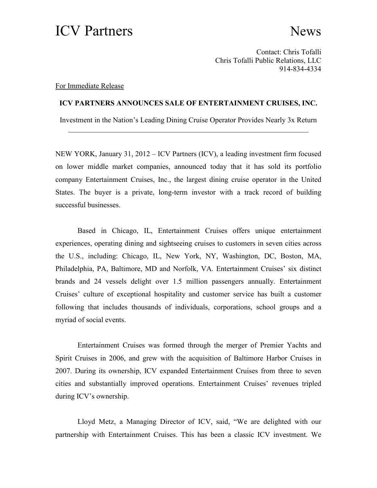## ICV Partners News

Contact: Chris Tofalli Chris Tofalli Public Relations, LLC 914-834-4334

## For Immediate Release

## **ICV PARTNERS ANNOUNCES SALE OF ENTERTAINMENT CRUISES, INC.**

Investment in the Nation's Leading Dining Cruise Operator Provides Nearly 3x Return \_\_\_\_\_\_\_\_\_\_\_\_\_\_\_\_\_\_\_\_\_\_\_\_\_\_\_\_\_\_\_\_\_\_\_\_\_\_\_\_\_\_\_\_\_\_\_\_\_\_\_\_\_\_\_\_\_\_\_\_\_\_\_\_\_

NEW YORK, January 31, 2012 – ICV Partners (ICV), a leading investment firm focused on lower middle market companies, announced today that it has sold its portfolio company Entertainment Cruises, Inc., the largest dining cruise operator in the United States. The buyer is a private, long-term investor with a track record of building successful businesses.

Based in Chicago, IL, Entertainment Cruises offers unique entertainment experiences, operating dining and sightseeing cruises to customers in seven cities across the U.S., including: Chicago, IL, New York, NY, Washington, DC, Boston, MA, Philadelphia, PA, Baltimore, MD and Norfolk, VA. Entertainment Cruises' six distinct brands and 24 vessels delight over 1.5 million passengers annually. Entertainment Cruises' culture of exceptional hospitality and customer service has built a customer following that includes thousands of individuals, corporations, school groups and a myriad of social events.

Entertainment Cruises was formed through the merger of Premier Yachts and Spirit Cruises in 2006, and grew with the acquisition of Baltimore Harbor Cruises in 2007. During its ownership, ICV expanded Entertainment Cruises from three to seven cities and substantially improved operations. Entertainment Cruises' revenues tripled during ICV's ownership.

Lloyd Metz, a Managing Director of ICV, said, "We are delighted with our partnership with Entertainment Cruises. This has been a classic ICV investment. We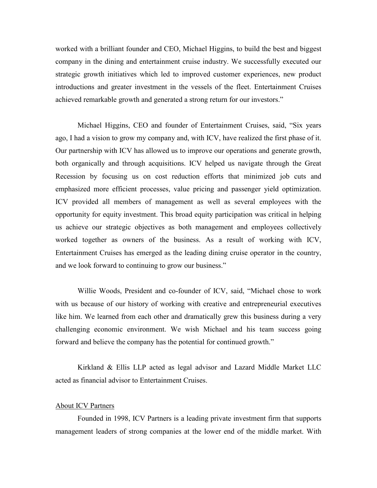worked with a brilliant founder and CEO, Michael Higgins, to build the best and biggest company in the dining and entertainment cruise industry. We successfully executed our strategic growth initiatives which led to improved customer experiences, new product introductions and greater investment in the vessels of the fleet. Entertainment Cruises achieved remarkable growth and generated a strong return for our investors."

Michael Higgins, CEO and founder of Entertainment Cruises, said, "Six years ago, I had a vision to grow my company and, with ICV, have realized the first phase of it. Our partnership with ICV has allowed us to improve our operations and generate growth, both organically and through acquisitions. ICV helped us navigate through the Great Recession by focusing us on cost reduction efforts that minimized job cuts and emphasized more efficient processes, value pricing and passenger yield optimization. ICV provided all members of management as well as several employees with the opportunity for equity investment. This broad equity participation was critical in helping us achieve our strategic objectives as both management and employees collectively worked together as owners of the business. As a result of working with ICV, Entertainment Cruises has emerged as the leading dining cruise operator in the country, and we look forward to continuing to grow our business."

Willie Woods, President and co-founder of ICV, said, "Michael chose to work with us because of our history of working with creative and entrepreneurial executives like him. We learned from each other and dramatically grew this business during a very challenging economic environment. We wish Michael and his team success going forward and believe the company has the potential for continued growth."

Kirkland & Ellis LLP acted as legal advisor and Lazard Middle Market LLC acted as financial advisor to Entertainment Cruises.

## About ICV Partners

Founded in 1998, ICV Partners is a leading private investment firm that supports management leaders of strong companies at the lower end of the middle market. With